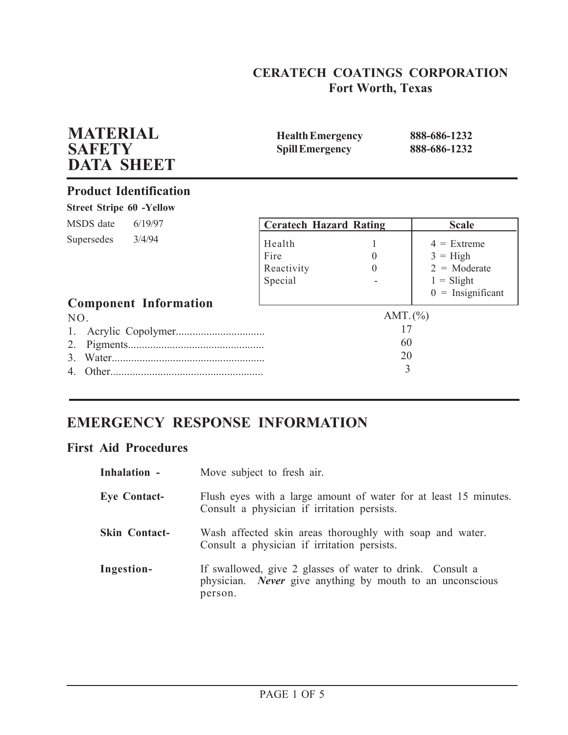# **CERATECH COATINGS CORPORATION Fort Worth, Texas**

| <b>MATERIAL</b><br><b>SAFETY</b><br><b>DATA SHEET</b> | <b>Health Emergency</b><br><b>Spill Emergency</b> |                                     | 888-686-1232<br>888-686-1232                                                                |
|-------------------------------------------------------|---------------------------------------------------|-------------------------------------|---------------------------------------------------------------------------------------------|
| <b>Product Identification</b>                         |                                                   |                                     |                                                                                             |
| <b>Street Stripe 60 -Yellow</b>                       |                                                   |                                     |                                                                                             |
| MSDS date<br>6/19/97                                  | <b>Ceratech Hazard Rating</b>                     |                                     | <b>Scale</b>                                                                                |
| 3/4/94<br>Supersedes<br><b>Component Information</b>  | Health<br>Fire<br>Reactivity<br>Special           | $\theta$<br>$\Omega$                | $4 =$ Extreme<br>$3 = High$<br>$2 = \text{Moderate}$<br>$1 =$ Slight<br>$0 =$ Insignificant |
| NO.<br>Other<br>4                                     |                                                   | AMT. $(\% )$<br>17<br>60<br>20<br>3 |                                                                                             |

# **EMERGENCY RESPONSE INFORMATION**

# **First Aid Procedures**

| Inhalation -         | Move subject to fresh air.                                                                                                               |
|----------------------|------------------------------------------------------------------------------------------------------------------------------------------|
| <b>Eye Contact-</b>  | Flush eyes with a large amount of water for at least 15 minutes.<br>Consult a physician if irritation persists.                          |
| <b>Skin Contact-</b> | Wash affected skin areas thoroughly with soap and water.<br>Consult a physician if irritation persists.                                  |
| Ingestion-           | If swallowed, give 2 glasses of water to drink. Consult a<br>physician. <i>Never</i> give anything by mouth to an unconscious<br>person. |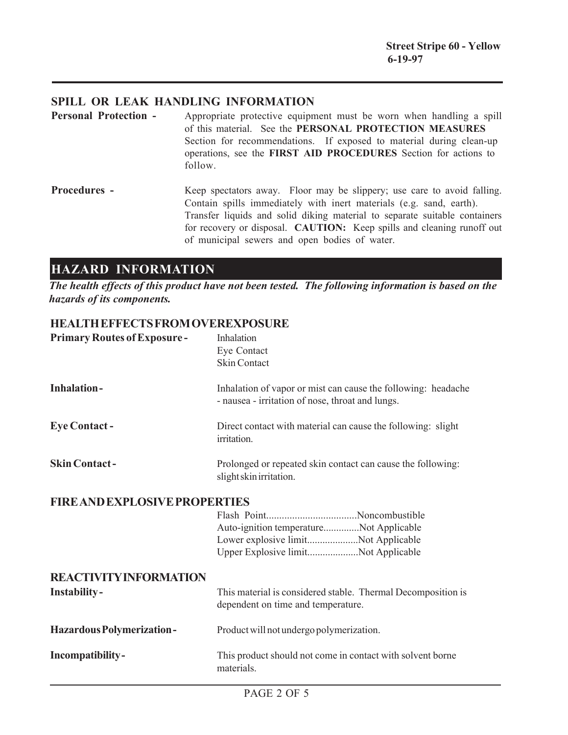## **SPILL OR LEAK HANDLING INFORMATION**

- **Personal Protection -** Appropriate protective equipment must be worn when handling a spill of this material. See the **PERSONAL PROTECTION MEASURES** Section for recommendations. If exposed to material during clean-up operations, see the **FIRST AID PROCEDURES** Section for actions to follow.
- **Procedures -** Keep spectators away. Floor may be slippery; use care to avoid falling. Contain spills immediately with inert materials (e.g. sand, earth). Transfer liquids and solid diking material to separate suitable containers for recovery or disposal. **CAUTION:** Keep spills and cleaning runoff out of municipal sewers and open bodies of water.

# **HAZARD INFORMATION**

*The health effects of this product have not been tested. The following information is based on the hazards of its components.*

### **HEALTH EFFECTS FROM OVEREXPOSURE**

| <b>Primary Routes of Exposure-</b>   | Inhalation<br>Eye Contact<br><b>Skin Contact</b>                                                                      |
|--------------------------------------|-----------------------------------------------------------------------------------------------------------------------|
| <b>Inhalation-</b>                   | Inhalation of vapor or mist can cause the following: headache<br>- nausea - irritation of nose, throat and lungs.     |
| <b>Eye Contact-</b>                  | Direct contact with material can cause the following: slight<br>irritation.                                           |
| <b>Skin Contact-</b>                 | Prolonged or repeated skin contact can cause the following:<br>slight skin irritation.                                |
| <b>FIRE AND EXPLOSIVE PROPERTIES</b> |                                                                                                                       |
|                                      | Auto-ignition temperatureNot Applicable<br>Lower explosive limitNot Applicable<br>Upper Explosive limitNot Applicable |
| <b>REACTIVITY INFORMATION</b>        |                                                                                                                       |
| <b>Instability-</b>                  | This material is considered stable. Thermal Decomposition is<br>dependent on time and temperature.                    |
| <b>Hazardous Polymerization-</b>     | Product will not undergo polymerization.                                                                              |
| Incompatibility-                     | This product should not come in contact with solvent borne<br>materials.                                              |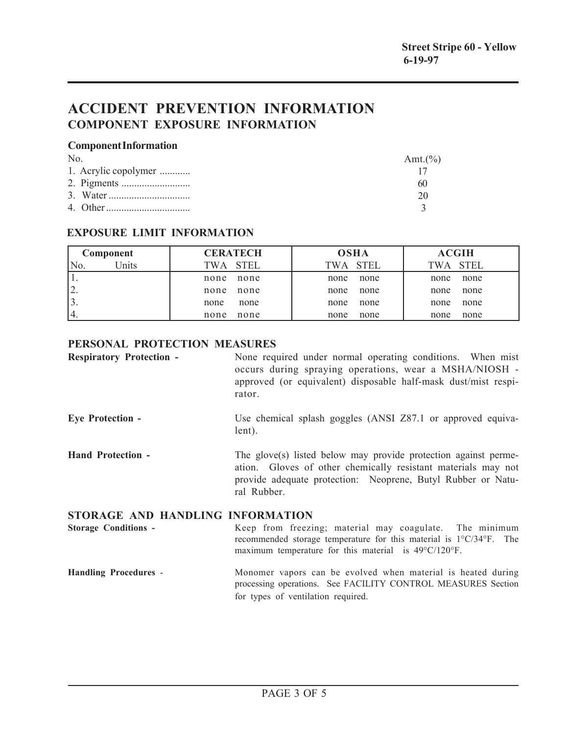# **ACCIDENT PREVENTION INFORMATION COMPONENT EXPOSURE INFORMATION**

#### **Component Information**

| N <sub>0</sub>       | Amt. $(\% )$ |
|----------------------|--------------|
| 1. Acrylic copolymer |              |
|                      | 60           |
|                      | 20           |
|                      |              |

### **EXPOSURE LIMIT INFORMATION**

| Component                 | <b>CERATECH</b> | <b>OSHA</b> | <b>ACGIH</b> |
|---------------------------|-----------------|-------------|--------------|
| <sup>I</sup> Jnits<br>No. | TWA STEL        | TWA STEL    | TWA STEL     |
|                           | none            | none        | none         |
|                           | none            | none        | none         |
| ۷.                        | none            | none        | none         |
|                           | none            | none        | none         |
|                           | none            | none        | none         |
|                           | none            | none        | none         |
| 14.                       | none            | none        | none         |
|                           | none            | none        | none         |

### **PERSONAL PROTECTION MEASURES**

| <b>Respiratory Protection -</b>  | None required under normal operating conditions. When mist<br>occurs during spraying operations, wear a MSHA/NIOSH -<br>approved (or equivalent) disposable half-mask dust/mist respi-<br>rator.                |
|----------------------------------|-----------------------------------------------------------------------------------------------------------------------------------------------------------------------------------------------------------------|
| <b>Eye Protection -</b>          | Use chemical splash goggles (ANSI Z87.1 or approved equiva-<br>lent).                                                                                                                                           |
| <b>Hand Protection -</b>         | The glove(s) listed below may provide protection against perme-<br>ation. Gloves of other chemically resistant materials may not<br>provide adequate protection: Neoprene, Butyl Rubber or Natu-<br>ral Rubber. |
| STORAGE AND HANDLING INFORMATION |                                                                                                                                                                                                                 |

**Storage Conditions -** Keep from freezing; material may coagulate. The minimum recommended storage temperature for this material is 1°C/34°F. The maximum temperature for this material is 49°C/120°F.

#### **Handling Procedures** - Monomer vapors can be evolved when material is heated during processing operations. See FACILITY CONTROL MEASURES Section for types of ventilation required.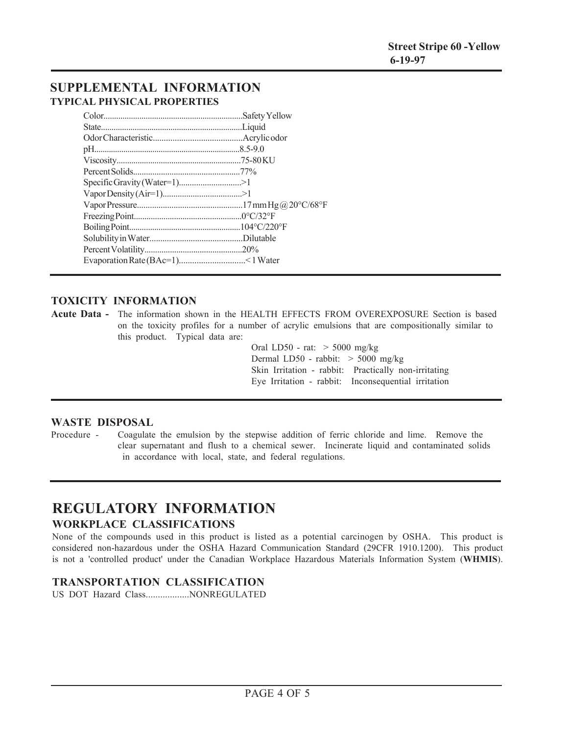## **SUPPLEMENTAL INFORMATION TYPICAL PHYSICAL PROPERTIES**

| Specific Gravity (Water=1)>1 |  |
|------------------------------|--|
|                              |  |
|                              |  |
|                              |  |
|                              |  |
|                              |  |
|                              |  |
|                              |  |

### **TOXICITY INFORMATION**

**Acute Data -** The information shown in the HEALTH EFFECTS FROM OVEREXPOSURE Section is based on the toxicity profiles for a number of acrylic emulsions that are compositionally similar to this product. Typical data are:

> Oral LD50 - rat: > 5000 mg/kg Dermal LD50 - rabbit: > 5000 mg/kg Skin Irritation - rabbit: Practically non-irritating Eye Irritation - rabbit: Inconsequential irritation

#### **WASTE DISPOSAL**

Procedure - Coagulate the emulsion by the stepwise addition of ferric chloride and lime. Remove the clear supernatant and flush to a chemical sewer. Incinerate liquid and contaminated solids in accordance with local, state, and federal regulations.

## **REGULATORY INFORMATION WORKPLACE CLASSIFICATIONS**

None of the compounds used in this product is listed as a potential carcinogen by OSHA. This product is considered non-hazardous under the OSHA Hazard Communication Standard (29CFR 1910.1200). This product is not a 'controlled product' under the Canadian Workplace Hazardous Materials Information System (**WHMIS**).

### **TRANSPORTATION CLASSIFICATION**

US DOT Hazard Class..................NONREGULATED